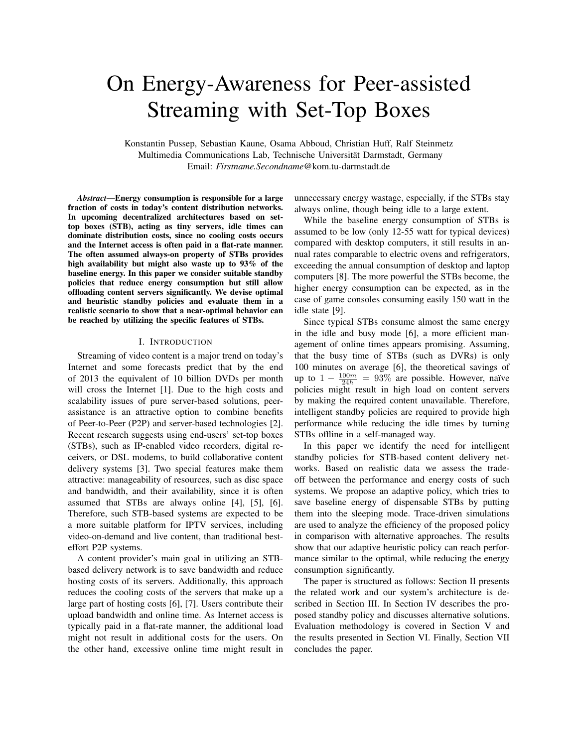# On Energy-Awareness for Peer-assisted Streaming with Set-Top Boxes

Konstantin Pussep, Sebastian Kaune, Osama Abboud, Christian Huff, Ralf Steinmetz Multimedia Communications Lab, Technische Universität Darmstadt, Germany Email: *Firstname.Secondname*@kom.tu-darmstadt.de

*Abstract*—Energy consumption is responsible for a large fraction of costs in today's content distribution networks. In upcoming decentralized architectures based on settop boxes (STB), acting as tiny servers, idle times can dominate distribution costs, since no cooling costs occurs and the Internet access is often paid in a flat-rate manner. The often assumed always-on property of STBs provides high availability but might also waste up to 93% of the baseline energy. In this paper we consider suitable standby policies that reduce energy consumption but still allow offloading content servers significantly. We devise optimal and heuristic standby policies and evaluate them in a realistic scenario to show that a near-optimal behavior can be reached by utilizing the specific features of STBs.

#### I. INTRODUCTION

Streaming of video content is a major trend on today's Internet and some forecasts predict that by the end of 2013 the equivalent of 10 billion DVDs per month will cross the Internet [1]. Due to the high costs and scalability issues of pure server-based solutions, peerassistance is an attractive option to combine benefits of Peer-to-Peer (P2P) and server-based technologies [2]. Recent research suggests using end-users' set-top boxes (STBs), such as IP-enabled video recorders, digital receivers, or DSL modems, to build collaborative content delivery systems [3]. Two special features make them attractive: manageability of resources, such as disc space and bandwidth, and their availability, since it is often assumed that STBs are always online [4], [5], [6]. Therefore, such STB-based systems are expected to be a more suitable platform for IPTV services, including video-on-demand and live content, than traditional besteffort P2P systems.

A content provider's main goal in utilizing an STBbased delivery network is to save bandwidth and reduce hosting costs of its servers. Additionally, this approach reduces the cooling costs of the servers that make up a large part of hosting costs [6], [7]. Users contribute their upload bandwidth and online time. As Internet access is typically paid in a flat-rate manner, the additional load might not result in additional costs for the users. On the other hand, excessive online time might result in unnecessary energy wastage, especially, if the STBs stay always online, though being idle to a large extent.

While the baseline energy consumption of STBs is assumed to be low (only 12-55 watt for typical devices) compared with desktop computers, it still results in annual rates comparable to electric ovens and refrigerators, exceeding the annual consumption of desktop and laptop computers [8]. The more powerful the STBs become, the higher energy consumption can be expected, as in the case of game consoles consuming easily 150 watt in the idle state [9].

Since typical STBs consume almost the same energy in the idle and busy mode [6], a more efficient management of online times appears promising. Assuming, that the busy time of STBs (such as DVRs) is only 100 minutes on average [6], the theoretical savings of up to  $1 - \frac{100m}{24h} = 93\%$  are possible. However, naïve policies might result in high load on content servers by making the required content unavailable. Therefore, intelligent standby policies are required to provide high performance while reducing the idle times by turning STBs offline in a self-managed way.

In this paper we identify the need for intelligent standby policies for STB-based content delivery networks. Based on realistic data we assess the tradeoff between the performance and energy costs of such systems. We propose an adaptive policy, which tries to save baseline energy of dispensable STBs by putting them into the sleeping mode. Trace-driven simulations are used to analyze the efficiency of the proposed policy in comparison with alternative approaches. The results show that our adaptive heuristic policy can reach performance similar to the optimal, while reducing the energy consumption significantly.

The paper is structured as follows: Section II presents the related work and our system's architecture is described in Section III. In Section IV describes the proposed standby policy and discusses alternative solutions. Evaluation methodology is covered in Section V and the results presented in Section VI. Finally, Section VII concludes the paper.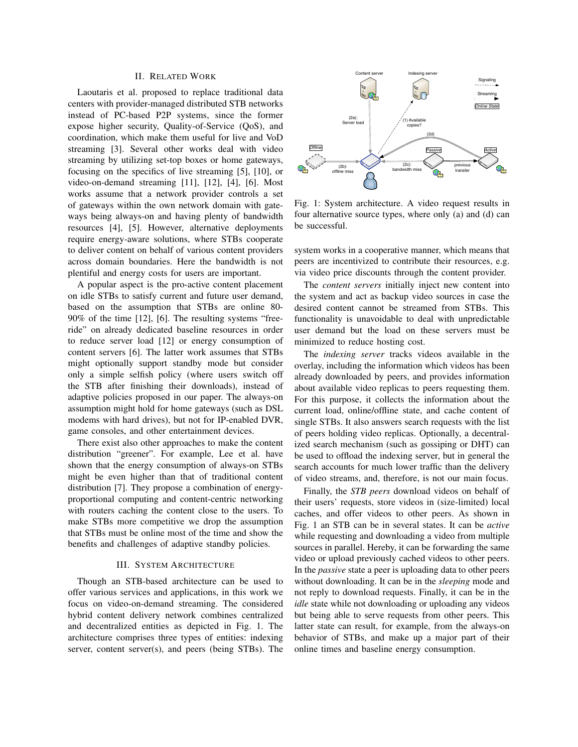## II. RELATED WORK

Laoutaris et al. proposed to replace traditional data centers with provider-managed distributed STB networks instead of PC-based P2P systems, since the former expose higher security, Quality-of-Service (QoS), and coordination, which make them useful for live and VoD streaming [3]. Several other works deal with video streaming by utilizing set-top boxes or home gateways, focusing on the specifics of live streaming [5], [10], or video-on-demand streaming [11], [12], [4], [6]. Most works assume that a network provider controls a set of gateways within the own network domain with gateways being always-on and having plenty of bandwidth resources [4], [5]. However, alternative deployments require energy-aware solutions, where STBs cooperate to deliver content on behalf of various content providers across domain boundaries. Here the bandwidth is not plentiful and energy costs for users are important.

A popular aspect is the pro-active content placement on idle STBs to satisfy current and future user demand, based on the assumption that STBs are online 80- 90% of the time [12], [6]. The resulting systems "freeride" on already dedicated baseline resources in order to reduce server load [12] or energy consumption of content servers [6]. The latter work assumes that STBs might optionally support standby mode but consider only a simple selfish policy (where users switch off the STB after finishing their downloads), instead of adaptive policies proposed in our paper. The always-on assumption might hold for home gateways (such as DSL modems with hard drives), but not for IP-enabled DVR, game consoles, and other entertainment devices.

There exist also other approaches to make the content distribution "greener". For example, Lee et al. have shown that the energy consumption of always-on STBs might be even higher than that of traditional content distribution [7]. They propose a combination of energyproportional computing and content-centric networking with routers caching the content close to the users. To make STBs more competitive we drop the assumption that STBs must be online most of the time and show the benefits and challenges of adaptive standby policies.

#### III. SYSTEM ARCHITECTURE

Though an STB-based architecture can be used to offer various services and applications, in this work we focus on video-on-demand streaming. The considered hybrid content delivery network combines centralized and decentralized entities as depicted in Fig. 1. The architecture comprises three types of entities: indexing server, content server(s), and peers (being STBs). The



Fig. 1: System architecture. A video request results in four alternative source types, where only (a) and (d) can be successful.

system works in a cooperative manner, which means that peers are incentivized to contribute their resources, e.g. via video price discounts through the content provider.

The *content servers* initially inject new content into the system and act as backup video sources in case the desired content cannot be streamed from STBs. This functionality is unavoidable to deal with unpredictable user demand but the load on these servers must be minimized to reduce hosting cost.

The *indexing server* tracks videos available in the overlay, including the information which videos has been already downloaded by peers, and provides information about available video replicas to peers requesting them. For this purpose, it collects the information about the current load, online/offline state, and cache content of single STBs. It also answers search requests with the list of peers holding video replicas. Optionally, a decentralized search mechanism (such as gossiping or DHT) can be used to offload the indexing server, but in general the search accounts for much lower traffic than the delivery of video streams, and, therefore, is not our main focus.

Finally, the *STB peers* download videos on behalf of their users' requests, store videos in (size-limited) local caches, and offer videos to other peers. As shown in Fig. 1 an STB can be in several states. It can be *active* while requesting and downloading a video from multiple sources in parallel. Hereby, it can be forwarding the same video or upload previously cached videos to other peers. In the *passive* state a peer is uploading data to other peers without downloading. It can be in the *sleeping* mode and not reply to download requests. Finally, it can be in the *idle* state while not downloading or uploading any videos but being able to serve requests from other peers. This latter state can result, for example, from the always-on behavior of STBs, and make up a major part of their online times and baseline energy consumption.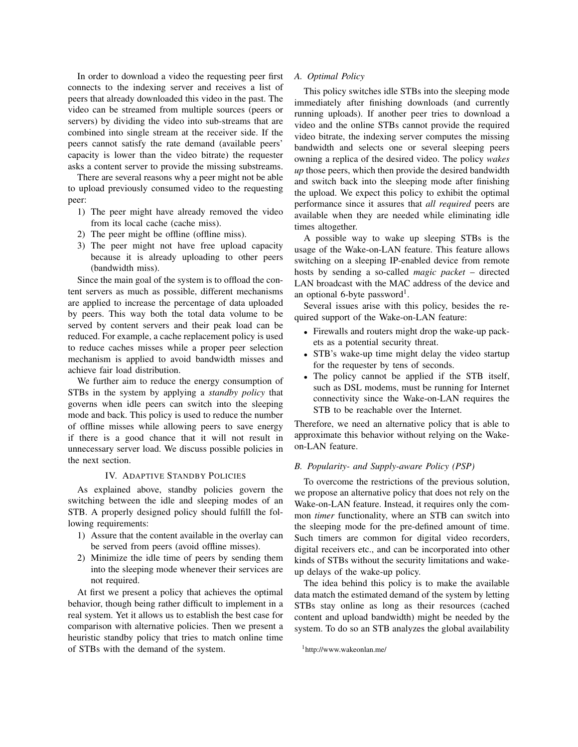In order to download a video the requesting peer first connects to the indexing server and receives a list of peers that already downloaded this video in the past. The video can be streamed from multiple sources (peers or servers) by dividing the video into sub-streams that are combined into single stream at the receiver side. If the peers cannot satisfy the rate demand (available peers' capacity is lower than the video bitrate) the requester asks a content server to provide the missing substreams.

There are several reasons why a peer might not be able to upload previously consumed video to the requesting peer:

- 1) The peer might have already removed the video from its local cache (cache miss).
- 2) The peer might be offline (offline miss).
- 3) The peer might not have free upload capacity because it is already uploading to other peers (bandwidth miss).

Since the main goal of the system is to offload the content servers as much as possible, different mechanisms are applied to increase the percentage of data uploaded by peers. This way both the total data volume to be served by content servers and their peak load can be reduced. For example, a cache replacement policy is used to reduce caches misses while a proper peer selection mechanism is applied to avoid bandwidth misses and achieve fair load distribution.

We further aim to reduce the energy consumption of STBs in the system by applying a *standby policy* that governs when idle peers can switch into the sleeping mode and back. This policy is used to reduce the number of offline misses while allowing peers to save energy if there is a good chance that it will not result in unnecessary server load. We discuss possible policies in the next section.

## IV. ADAPTIVE STANDBY POLICIES

As explained above, standby policies govern the switching between the idle and sleeping modes of an STB. A properly designed policy should fulfill the following requirements:

- 1) Assure that the content available in the overlay can be served from peers (avoid offline misses).
- 2) Minimize the idle time of peers by sending them into the sleeping mode whenever their services are not required.

At first we present a policy that achieves the optimal behavior, though being rather difficult to implement in a real system. Yet it allows us to establish the best case for comparison with alternative policies. Then we present a heuristic standby policy that tries to match online time of STBs with the demand of the system.

#### *A. Optimal Policy*

This policy switches idle STBs into the sleeping mode immediately after finishing downloads (and currently running uploads). If another peer tries to download a video and the online STBs cannot provide the required video bitrate, the indexing server computes the missing bandwidth and selects one or several sleeping peers owning a replica of the desired video. The policy *wakes up* those peers, which then provide the desired bandwidth and switch back into the sleeping mode after finishing the upload. We expect this policy to exhibit the optimal performance since it assures that *all required* peers are available when they are needed while eliminating idle times altogether.

A possible way to wake up sleeping STBs is the usage of the Wake-on-LAN feature. This feature allows switching on a sleeping IP-enabled device from remote hosts by sending a so-called *magic packet* – directed LAN broadcast with the MAC address of the device and an optional 6-byte password<sup>1</sup>.

Several issues arise with this policy, besides the required support of the Wake-on-LAN feature:

- Firewalls and routers might drop the wake-up packets as a potential security threat.
- STB's wake-up time might delay the video startup for the requester by tens of seconds.
- The policy cannot be applied if the STB itself, such as DSL modems, must be running for Internet connectivity since the Wake-on-LAN requires the STB to be reachable over the Internet.

Therefore, we need an alternative policy that is able to approximate this behavior without relying on the Wakeon-LAN feature.

# *B. Popularity- and Supply-aware Policy (PSP)*

To overcome the restrictions of the previous solution, we propose an alternative policy that does not rely on the Wake-on-LAN feature. Instead, it requires only the common *timer* functionality, where an STB can switch into the sleeping mode for the pre-defined amount of time. Such timers are common for digital video recorders, digital receivers etc., and can be incorporated into other kinds of STBs without the security limitations and wakeup delays of the wake-up policy.

The idea behind this policy is to make the available data match the estimated demand of the system by letting STBs stay online as long as their resources (cached content and upload bandwidth) might be needed by the system. To do so an STB analyzes the global availability

<sup>1</sup>http://www.wakeonlan.me/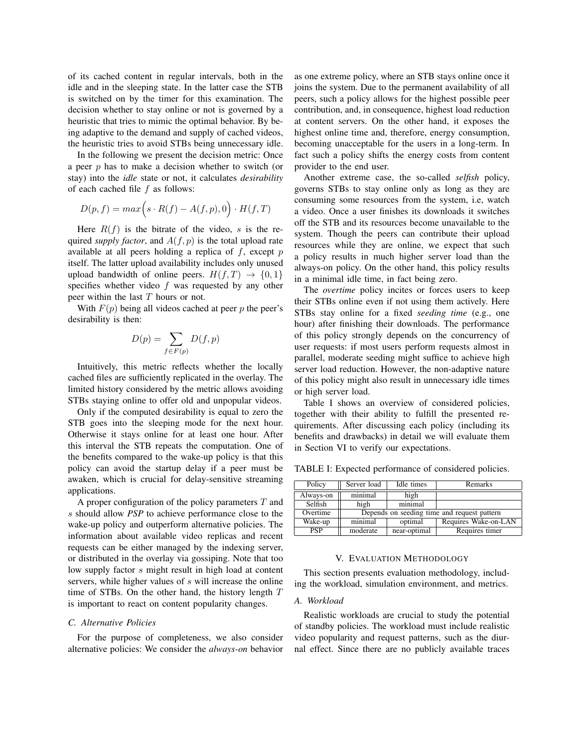of its cached content in regular intervals, both in the idle and in the sleeping state. In the latter case the STB is switched on by the timer for this examination. The decision whether to stay online or not is governed by a heuristic that tries to mimic the optimal behavior. By being adaptive to the demand and supply of cached videos, the heuristic tries to avoid STBs being unnecessary idle.

In the following we present the decision metric: Once a peer *p* has to make a decision whether to switch (or stay) into the *idle* state or not, it calculates *desirability* of each cached file *f* as follows:

$$
D(p, f) = max (s \cdot R(f) - A(f, p), 0) \cdot H(f, T)
$$

Here  $R(f)$  is the bitrate of the video, *s* is the required *supply factor*, and  $A(f, p)$  is the total upload rate available at all peers holding a replica of *f*, except *p* itself. The latter upload availability includes only unused upload bandwidth of online peers.  $H(f, T) \rightarrow \{0, 1\}$ specifies whether video *f* was requested by any other peer within the last *T* hours or not.

With  $F(p)$  being all videos cached at peer *p* the peer's desirability is then:

$$
D(p) = \sum_{f \in F(p)} D(f, p)
$$

Intuitively, this metric reflects whether the locally cached files are sufficiently replicated in the overlay. The limited history considered by the metric allows avoiding STBs staying online to offer old and unpopular videos.

Only if the computed desirability is equal to zero the STB goes into the sleeping mode for the next hour. Otherwise it stays online for at least one hour. After this interval the STB repeats the computation. One of the benefits compared to the wake-up policy is that this policy can avoid the startup delay if a peer must be awaken, which is crucial for delay-sensitive streaming applications.

A proper configuration of the policy parameters *T* and *s* should allow *PSP* to achieve performance close to the wake-up policy and outperform alternative policies. The information about available video replicas and recent requests can be either managed by the indexing server, or distributed in the overlay via gossiping. Note that too low supply factor *s* might result in high load at content servers, while higher values of *s* will increase the online time of STBs. On the other hand, the history length *T* is important to react on content popularity changes.

#### *C. Alternative Policies*

For the purpose of completeness, we also consider alternative policies: We consider the *always-on* behavior

as one extreme policy, where an STB stays online once it joins the system. Due to the permanent availability of all peers, such a policy allows for the highest possible peer contribution, and, in consequence, highest load reduction at content servers. On the other hand, it exposes the highest online time and, therefore, energy consumption, becoming unacceptable for the users in a long-term. In fact such a policy shifts the energy costs from content provider to the end user.

Another extreme case, the so-called *selfish* policy, governs STBs to stay online only as long as they are consuming some resources from the system, i.e, watch a video. Once a user finishes its downloads it switches off the STB and its resources become unavailable to the system. Though the peers can contribute their upload resources while they are online, we expect that such a policy results in much higher server load than the always-on policy. On the other hand, this policy results in a minimal idle time, in fact being zero.

The *overtime* policy incites or forces users to keep their STBs online even if not using them actively. Here STBs stay online for a fixed *seeding time* (e.g., one hour) after finishing their downloads. The performance of this policy strongly depends on the concurrency of user requests: if most users perform requests almost in parallel, moderate seeding might suffice to achieve high server load reduction. However, the non-adaptive nature of this policy might also result in unnecessary idle times or high server load.

Table I shows an overview of considered policies, together with their ability to fulfill the presented requirements. After discussing each policy (including its benefits and drawbacks) in detail we will evaluate them in Section VI to verify our expectations.

| Policy     | Server load                                 | Idle times   | <b>Remarks</b>       |
|------------|---------------------------------------------|--------------|----------------------|
| Always-on  | minimal                                     | high         |                      |
| Selfish    | high                                        | minimal      |                      |
| Overtime   | Depends on seeding time and request pattern |              |                      |
| Wake-up    | minimal                                     | optimal      | Requires Wake-on-LAN |
| <b>PSP</b> | moderate                                    | near-optimal | Requires timer       |

#### V. EVALUATION METHODOLOGY

This section presents evaluation methodology, including the workload, simulation environment, and metrics.

#### *A. Workload*

Realistic workloads are crucial to study the potential of standby policies. The workload must include realistic video popularity and request patterns, such as the diurnal effect. Since there are no publicly available traces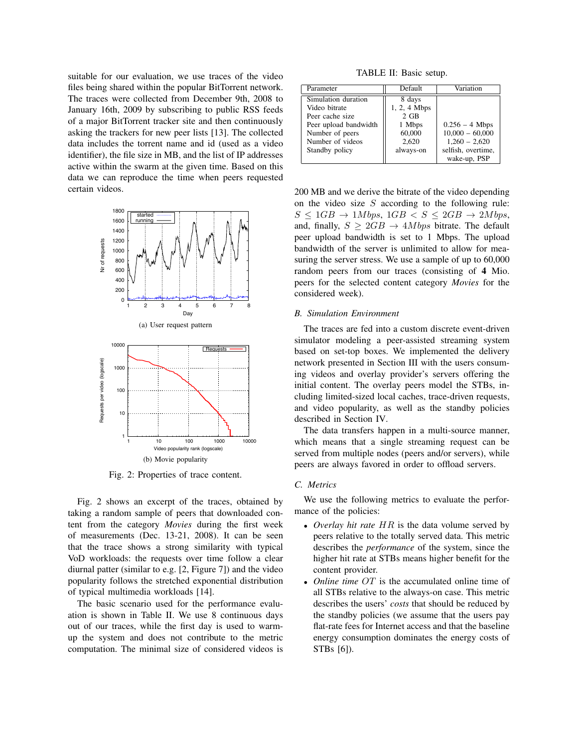suitable for our evaluation, we use traces of the video files being shared within the popular BitTorrent network. The traces were collected from December 9th, 2008 to January 16th, 2009 by subscribing to public RSS feeds of a major BitTorrent tracker site and then continuously asking the trackers for new peer lists [13]. The collected data includes the torrent name and id (used as a video identifier), the file size in MB, and the list of IP addresses active within the swarm at the given time. Based on this data we can reproduce the time when peers requested certain videos.



Fig. 2: Properties of trace content.

Fig. 2 shows an excerpt of the traces, obtained by taking a random sample of peers that downloaded content from the category *Movies* during the first week of measurements (Dec. 13-21, 2008). It can be seen that the trace shows a strong similarity with typical VoD workloads: the requests over time follow a clear diurnal patter (similar to e.g. [2, Figure 7]) and the video popularity follows the stretched exponential distribution of typical multimedia workloads [14].

The basic scenario used for the performance evaluation is shown in Table II. We use 8 continuous days out of our traces, while the first day is used to warmup the system and does not contribute to the metric computation. The minimal size of considered videos is

TABLE II: Basic setup.

| Parameter             | Default      | Variation          |
|-----------------------|--------------|--------------------|
| Simulation duration   | 8 days       |                    |
| Video bitrate         | 1, 2, 4 Mbps |                    |
| Peer cache size       | $2$ GB       |                    |
| Peer upload bandwidth | 1 Mbps       | $0.256 - 4$ Mbps   |
| Number of peers       | 60,000       | $10,000 - 60,000$  |
| Number of videos      | 2.620        | $1,260 - 2,620$    |
| Standby policy        | always-on    | selfish, overtime, |
|                       |              | wake-up, PSP       |

200 MB and we derive the bitrate of the video depending on the video size *S* according to the following rule:  $S \leq 1GB \rightarrow 1Mbps, 1GB < S \leq 2GB \rightarrow 2Mbps,$ and, finally,  $S \geq 2GB \rightarrow 4Mbps$  bitrate. The default peer upload bandwidth is set to 1 Mbps. The upload bandwidth of the server is unlimited to allow for measuring the server stress. We use a sample of up to 60,000 random peers from our traces (consisting of 4 Mio. peers for the selected content category *Movies* for the considered week).

## *B. Simulation Environment*

The traces are fed into a custom discrete event-driven simulator modeling a peer-assisted streaming system based on set-top boxes. We implemented the delivery network presented in Section III with the users consuming videos and overlay provider's servers offering the initial content. The overlay peers model the STBs, including limited-sized local caches, trace-driven requests, and video popularity, as well as the standby policies described in Section IV.

The data transfers happen in a multi-source manner, which means that a single streaming request can be served from multiple nodes (peers and/or servers), while peers are always favored in order to offload servers.

# *C. Metrics*

We use the following metrics to evaluate the performance of the policies:

- *Overlay hit rate HR* is the data volume served by peers relative to the totally served data. This metric describes the *performance* of the system, since the higher hit rate at STBs means higher benefit for the content provider.
- *Online time OT* is the accumulated online time of all STBs relative to the always-on case. This metric describes the users' *costs* that should be reduced by the standby policies (we assume that the users pay flat-rate fees for Internet access and that the baseline energy consumption dominates the energy costs of STBs [6]).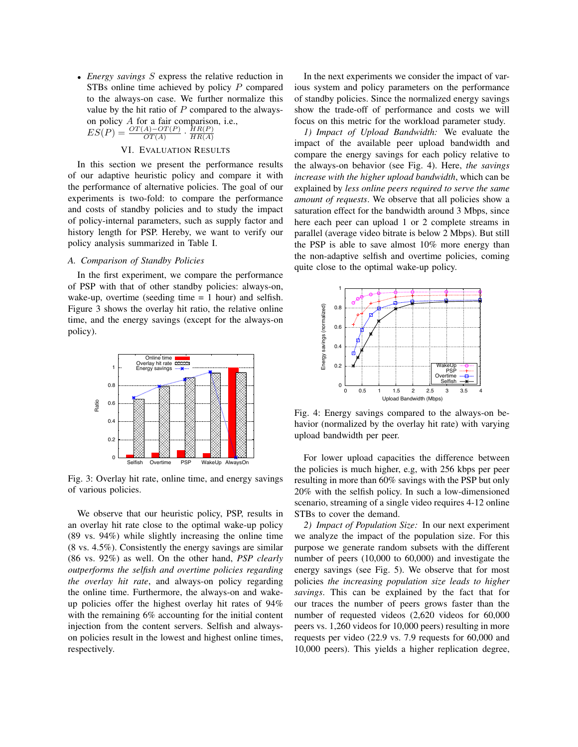• *Energy savings S* express the relative reduction in STBs online time achieved by policy *P* compared to the always-on case. We further normalize this value by the hit ratio of *P* compared to the alwayson policy *A* for a fair comparison, i.e.,

$$
ES(P) = \frac{OT(A) - OT(P)}{OT(A)} \cdot \frac{HR(P)}{HR(A)}
$$

# VI. EVALUATION RESULTS

In this section we present the performance results of our adaptive heuristic policy and compare it with the performance of alternative policies. The goal of our experiments is two-fold: to compare the performance and costs of standby policies and to study the impact of policy-internal parameters, such as supply factor and history length for PSP. Hereby, we want to verify our policy analysis summarized in Table I.

#### *A. Comparison of Standby Policies*

In the first experiment, we compare the performance of PSP with that of other standby policies: always-on, wake-up, overtime (seeding time  $= 1$  hour) and selfish. Figure 3 shows the overlay hit ratio, the relative online time, and the energy savings (except for the always-on policy).



Fig. 3: Overlay hit rate, online time, and energy savings of various policies.

We observe that our heuristic policy, PSP, results in an overlay hit rate close to the optimal wake-up policy (89 vs. 94%) while slightly increasing the online time (8 vs. 4.5%). Consistently the energy savings are similar (86 vs. 92%) as well. On the other hand, *PSP clearly outperforms the selfish and overtime policies regarding the overlay hit rate*, and always-on policy regarding the online time. Furthermore, the always-on and wakeup policies offer the highest overlay hit rates of 94% with the remaining 6% accounting for the initial content injection from the content servers. Selfish and alwayson policies result in the lowest and highest online times, respectively.

In the next experiments we consider the impact of various system and policy parameters on the performance of standby policies. Since the normalized energy savings show the trade-off of performance and costs we will focus on this metric for the workload parameter study.

*1) Impact of Upload Bandwidth:* We evaluate the impact of the available peer upload bandwidth and compare the energy savings for each policy relative to the always-on behavior (see Fig. 4). Here, *the savings increase with the higher upload bandwidth*, which can be explained by *less online peers required to serve the same amount of requests*. We observe that all policies show a saturation effect for the bandwidth around 3 Mbps, since here each peer can upload 1 or 2 complete streams in parallel (average video bitrate is below 2 Mbps). But still the PSP is able to save almost 10% more energy than the non-adaptive selfish and overtime policies, coming quite close to the optimal wake-up policy.



Fig. 4: Energy savings compared to the always-on behavior (normalized by the overlay hit rate) with varying upload bandwidth per peer.

For lower upload capacities the difference between the policies is much higher, e.g, with 256 kbps per peer resulting in more than 60% savings with the PSP but only 20% with the selfish policy. In such a low-dimensioned scenario, streaming of a single video requires 4-12 online STBs to cover the demand.

*2) Impact of Population Size:* In our next experiment we analyze the impact of the population size. For this purpose we generate random subsets with the different number of peers (10,000 to 60,000) and investigate the energy savings (see Fig. 5). We observe that for most policies *the increasing population size leads to higher savings*. This can be explained by the fact that for our traces the number of peers grows faster than the number of requested videos (2,620 videos for 60,000 peers vs. 1,260 videos for 10,000 peers) resulting in more requests per video (22.9 vs. 7.9 requests for 60,000 and 10,000 peers). This yields a higher replication degree,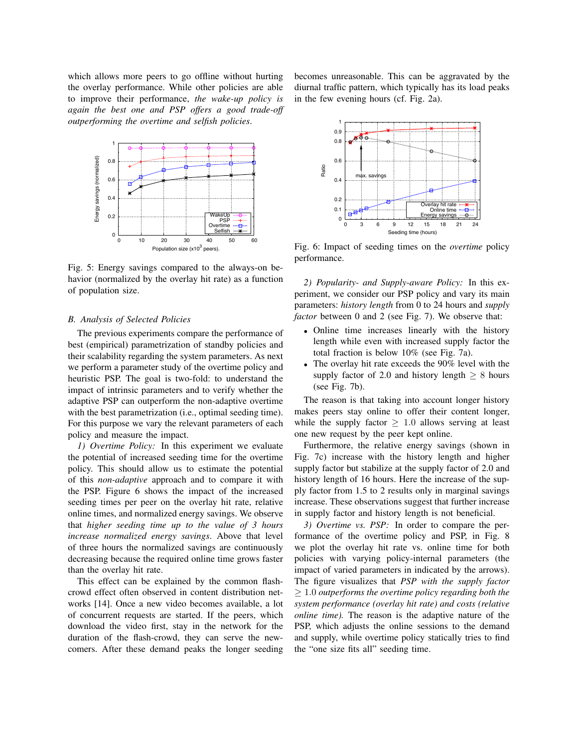which allows more peers to go offline without hurting the overlay performance. While other policies are able to improve their performance, *the wake-up policy is again the best one and PSP offers a good trade-off outperforming the overtime and selfish policies*.



Fig. 5: Energy savings compared to the always-on behavior (normalized by the overlay hit rate) as a function of population size.

#### *B. Analysis of Selected Policies*

The previous experiments compare the performance of best (empirical) parametrization of standby policies and their scalability regarding the system parameters. As next we perform a parameter study of the overtime policy and heuristic PSP. The goal is two-fold: to understand the impact of intrinsic parameters and to verify whether the adaptive PSP can outperform the non-adaptive overtime with the best parametrization (i.e., optimal seeding time). For this purpose we vary the relevant parameters of each policy and measure the impact.

*1) Overtime Policy:* In this experiment we evaluate the potential of increased seeding time for the overtime policy. This should allow us to estimate the potential of this *non-adaptive* approach and to compare it with the PSP. Figure 6 shows the impact of the increased seeding times per peer on the overlay hit rate, relative online times, and normalized energy savings. We observe that *higher seeding time up to the value of 3 hours increase normalized energy savings*. Above that level of three hours the normalized savings are continuously decreasing because the required online time grows faster than the overlay hit rate.

This effect can be explained by the common flashcrowd effect often observed in content distribution networks [14]. Once a new video becomes available, a lot of concurrent requests are started. If the peers, which download the video first, stay in the network for the duration of the flash-crowd, they can serve the newcomers. After these demand peaks the longer seeding becomes unreasonable. This can be aggravated by the diurnal traffic pattern, which typically has its load peaks in the few evening hours (cf. Fig. 2a).



Fig. 6: Impact of seeding times on the *overtime* policy performance.

*2) Popularity- and Supply-aware Policy:* In this experiment, we consider our PSP policy and vary its main parameters: *history length* from 0 to 24 hours and *supply factor* between 0 and 2 (see Fig. 7). We observe that:

- Online time increases linearly with the history length while even with increased supply factor the total fraction is below 10% (see Fig. 7a).
- The overlay hit rate exceeds the 90% level with the supply factor of 2.0 and history length  $\geq 8$  hours (see Fig. 7b).

The reason is that taking into account longer history makes peers stay online to offer their content longer, while the supply factor  $> 1.0$  allows serving at least one new request by the peer kept online.

Furthermore, the relative energy savings (shown in Fig. 7c) increase with the history length and higher supply factor but stabilize at the supply factor of 2.0 and history length of 16 hours. Here the increase of the supply factor from 1.5 to 2 results only in marginal savings increase. These observations suggest that further increase in supply factor and history length is not beneficial.

*3) Overtime vs. PSP:* In order to compare the performance of the overtime policy and PSP, in Fig. 8 we plot the overlay hit rate vs. online time for both policies with varying policy-internal parameters (the impact of varied parameters in indicated by the arrows). The figure visualizes that *PSP with the supply factor* ≥ 1*.*0 *outperforms the overtime policy regarding both the system performance (overlay hit rate) and costs (relative online time).* The reason is the adaptive nature of the PSP, which adjusts the online sessions to the demand and supply, while overtime policy statically tries to find the "one size fits all" seeding time.